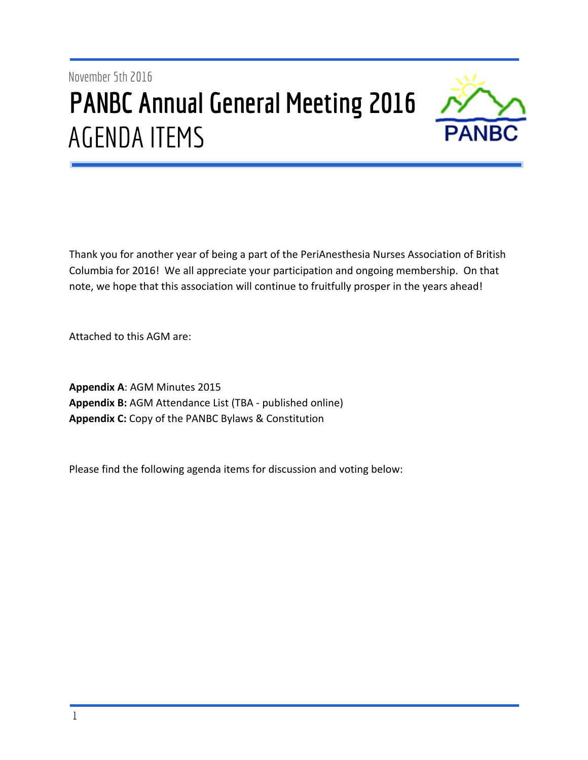# November 5th 2016 **PANBC Annual General Meeting 2016** AGENDA ITEMS



Thank you for another year of being a part of the PeriAnesthesia Nurses Association of British Columbia for 2016! We all appreciate your participation and ongoing membership. On that note, we hope that this association will continue to fruitfully prosper in the years ahead!

Attached to this AGM are:

**Appendix A**: AGM Minutes 2015 **Appendix B:** AGM Attendance List (TBA - published online) **Appendix C:** Copy of the PANBC Bylaws & Constitution

Please find the following agenda items for discussion and voting below: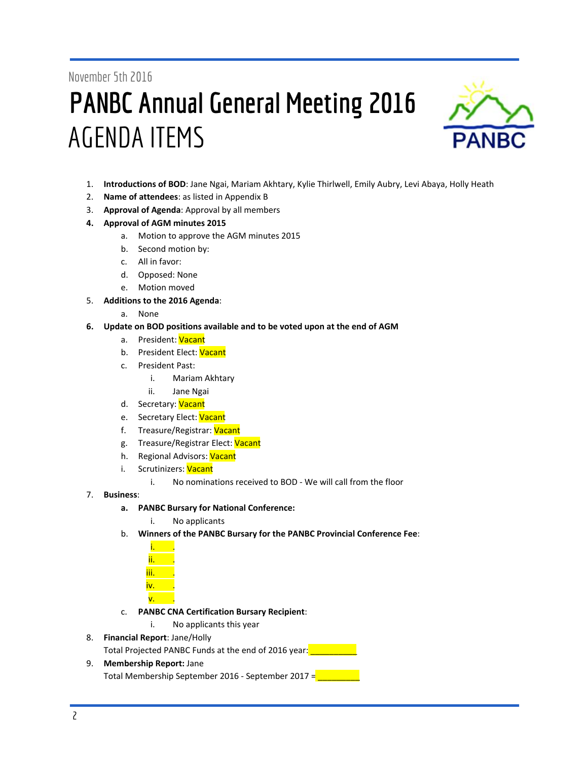### November 5th 2016

# **PANBC Annual General Meeting 2016** AGENDA ITEMS



- 1. **Introductions of BOD**: Jane Ngai, Mariam Akhtary, Kylie Thirlwell, Emily Aubry, Levi Abaya, Holly Heath
- 2. **Name of attendees**: as listed in Appendix B
- 3. **Approval of Agenda**: Approval by all members
- **4. Approval of AGM minutes 2015**
	- a. Motion to approve the AGM minutes 2015
	- b. Second motion by:
	- c. All in favor:
	- d. Opposed: None
	- e. Motion moved
- 5. **Additions to the 2016 Agenda**:
	- a. None
- **6. Update on BOD positions available and to be voted upon at the end of AGM**
	- a. President: Vacant
	- b. President Elect: Vacant
	- c. President Past:
		- i. Mariam Akhtary
		- ii. Jane Ngai
	- d. Secretary: Vacant
	- e. Secretary Elect: Vacant
	- f. Treasure/Registrar: Vacant
	- g. Treasure/Registrar Elect: Vacant
	- h. Regional Advisors: Vacant
	- i. Scrutinizers: Vacant
		- i. No nominations received to BOD We will call from the floor
- 7. **Business**:
	- **a. PANBC Bursary for National Conference:**
		- i. No applicants
	- b. **Winners of the PANBC Bursary for the PANBC Provincial Conference Fee**:

| ii.  |  |
|------|--|
| iii. |  |
| IV.  |  |
|      |  |

- c. **PANBC CNA Certification Bursary Recipient**:
	- i. No applicants this year
- 8. **Financial Report**: Jane/Holly

Total Projected PANBC Funds at the end of 2016 year: **We can be also asset** 

- 9. **Membership Report:** Jane
	- Total Membership September 2016 September 2017 =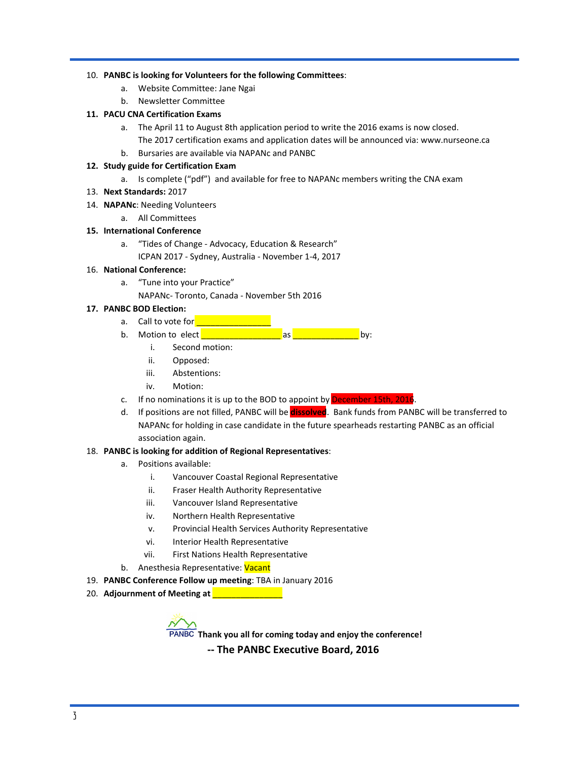#### 10. **PANBC is looking for Volunteers for the following Committees**:

- a. Website Committee: Jane Ngai
- b. Newsletter Committee

#### **11. PACU CNA Certification Exams**

- a. The April 11 to August 8th application period to write the 2016 exams is now closed.
	- The 2017 certification exams and application dates will be announced via: www.nurseone.ca
- b. Bursaries are available via NAPANc and PANBC

#### **12. Study guide for Certification Exam**

- a. Is complete ("pdf") and available for free to NAPANc members writing the CNA exam
- 13. **Next Standards:** 2017
- 14. **NAPANc**: Needing Volunteers
	- a. All Committees

#### **15. International Conference**

a. "Tides of Change - Advocacy, Education & Research" ICPAN 2017 - Sydney, Australia - November 1-4, 2017

#### 16. **National Conference:**

- a. "Tune into your Practice"
	- NAPANc- Toronto, Canada November 5th 2016

#### **17. PANBC BOD Election:**

- a. Call to vote for
- b. Motion to elect **and the set of the set of the set of the set of the set of the set of the set of the set of the set of the set of the set of the set of the set of the set of the set of the set of the set of the set of** 
	- i. Second motion:
	- ii. Opposed:
	- iii. Abstentions:
	- iv. Motion:
- c. If no nominations it is up to the BOD to appoint by December 15th, 2016.
- d. If positions are not filled, PANBC will be **dissolved**. Bank funds from PANBC will be transferred to NAPANc for holding in case candidate in the future spearheads restarting PANBC as an official association again.

#### 18. **PANBC is looking for addition of Regional Representatives**:

- a. Positions available:
	- i. Vancouver Coastal Regional Representative
	- ii. Fraser Health Authority Representative
	- iii. Vancouver Island Representative
	- iv. Northern Health Representative
	- v. Provincial Health Services Authority Representative
	- vi. Interior Health Representative
	- vii. First Nations Health Representative
- b. Anesthesia Representative: Vacant
- 19. **PANBC Conference Follow up meeting**: TBA in January 2016
- 20. **Adjournment of Meeting at <u>Latin Community</u>**

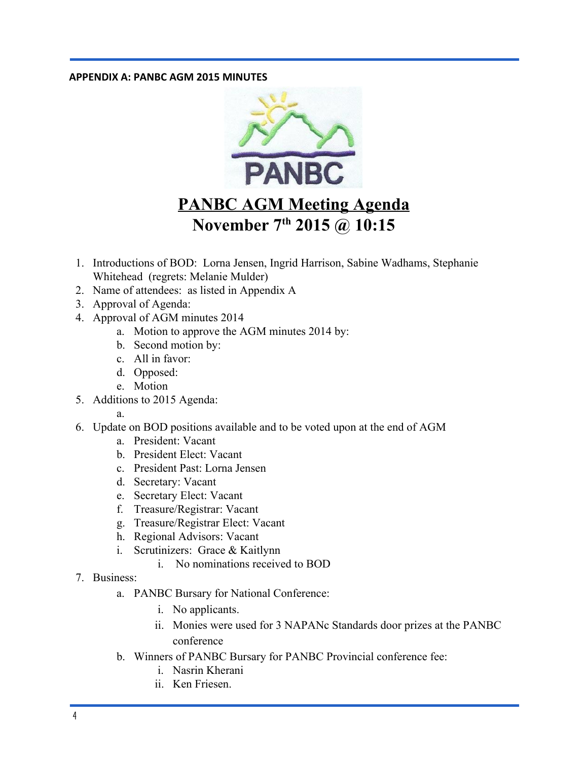#### **APPENDIX A: PANBC AGM 2015 MINUTES**



# **PANBC AGM Meeting Agenda November 7 th 2015 @ 10:15**

- 1. Introductions of BOD: Lorna Jensen, Ingrid Harrison, Sabine Wadhams, Stephanie Whitehead (regrets: Melanie Mulder)
- 2. Name of attendees: as listed in Appendix A
- 3. Approval of Agenda:
- 4. Approval of AGM minutes 2014
	- a. Motion to approve the AGM minutes 2014 by:
	- b. Second motion by:
	- c. All in favor:
	- d. Opposed:
	- e. Motion
- 5. Additions to 2015 Agenda:

a.

- 6. Update on BOD positions available and to be voted upon at the end of AGM
	- a. President: Vacant
	- b. President Elect: Vacant
	- c. President Past: Lorna Jensen
	- d. Secretary: Vacant
	- e. Secretary Elect: Vacant
	- f. Treasure/Registrar: Vacant
	- g. Treasure/Registrar Elect: Vacant
	- h. Regional Advisors: Vacant
	- i. Scrutinizers: Grace & Kaitlynn
		- i. No nominations received to BOD
- 7. Business:
	- a. PANBC Bursary for National Conference:
		- i. No applicants.
		- ii. Monies were used for 3 NAPANc Standards door prizes at the PANBC conference
	- b. Winners of PANBC Bursary for PANBC Provincial conference fee:
		- i. Nasrin Kherani
		- ii. Ken Friesen.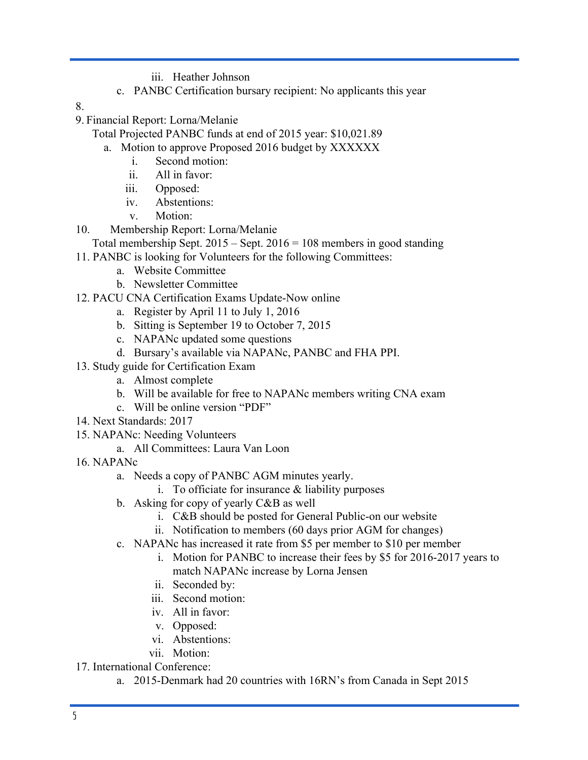- iii. Heather Johnson
- c. PANBC Certification bursary recipient: No applicants this year
- 8.
- 9. Financial Report: Lorna/Melanie

Total Projected PANBC funds at end of 2015 year: \$10,021.89

- a. Motion to approve Proposed 2016 budget by XXXXXX
	- i. Second motion:
	- ii. All in favor:
	- iii. Opposed:
	- iv. Abstentions:
	- v. Motion:
- 10. Membership Report: Lorna/Melanie
	- Total membership Sept.  $2015 -$ Sept.  $2016 = 108$  members in good standing
- 11. PANBC is looking for Volunteers for the following Committees:
	- a. Website Committee
	- b. Newsletter Committee
- 12. PACU CNA Certification Exams Update-Now online
	- a. Register by April 11 to July 1, 2016
	- b. Sitting is September 19 to October 7, 2015
	- c. NAPANc updated some questions
	- d. Bursary's available via NAPANc, PANBC and FHA PPI.
- 13. Study guide for Certification Exam
	- a. Almost complete
	- b. Will be available for free to NAPANc members writing CNA exam
	- c. Will be online version "PDF"
- 14. Next Standards: 2017
- 15. NAPANc: Needing Volunteers
	- a. All Committees: Laura Van Loon
- 16. NAPANc
	- a. Needs a copy of PANBC AGM minutes yearly.
		- i. To officiate for insurance  $&$  liability purposes
	- b. Asking for copy of yearly C&B as well
		- i. C&B should be posted for General Public-on our website
		- ii. Notification to members (60 days prior AGM for changes)
	- c. NAPANc has increased it rate from \$5 per member to \$10 per member
		- i. Motion for PANBC to increase their fees by \$5 for 2016-2017 years to match NAPANc increase by Lorna Jensen
		- ii. Seconded by:
		- iii. Second motion:
		- iv. All in favor:
		- v. Opposed:
		- vi. Abstentions:
		- vii. Motion:
- 17. International Conference:
	- a. 2015-Denmark had 20 countries with 16RN's from Canada in Sept 2015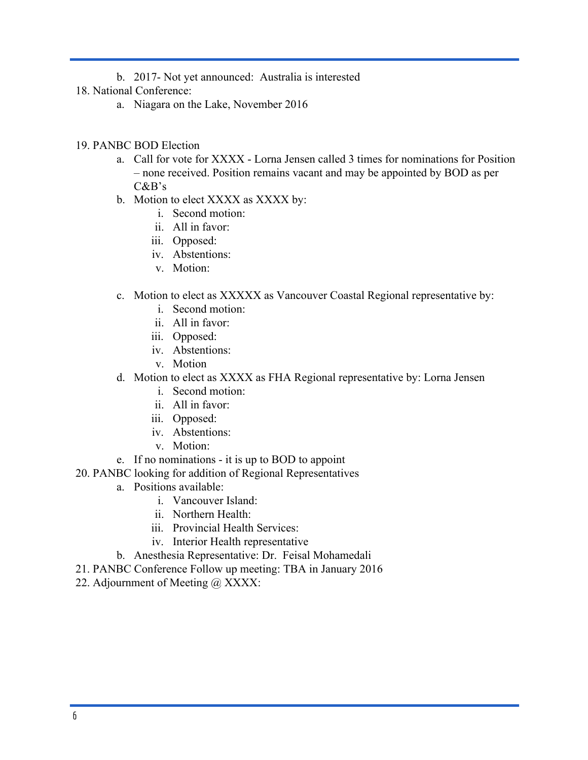- b. 2017- Not yet announced: Australia is interested
- 18. National Conference:
	- a. Niagara on the Lake, November 2016

#### 19. PANBC BOD Election

- a. Call for vote for XXXX Lorna Jensen called 3 times for nominations for Position – none received. Position remains vacant and may be appointed by BOD as per C&B's
- b. Motion to elect XXXX as XXXX by:
	- i. Second motion:
	- ii. All in favor:
	- iii. Opposed:
	- iv. Abstentions:
	- v. Motion:
- c. Motion to elect as XXXXX as Vancouver Coastal Regional representative by:
	- i. Second motion:
	- ii. All in favor:
	- iii. Opposed:
	- iv. Abstentions:
	- v. Motion
- d. Motion to elect as XXXX as FHA Regional representative by: Lorna Jensen
	- i. Second motion:
	- ii. All in favor:
	- iii. Opposed:
	- iv. Abstentions:
	- v. Motion:
- e. If no nominations it is up to BOD to appoint
- 20. PANBC looking for addition of Regional Representatives
	- a. Positions available:
		- i. Vancouver Island:
		- ii. Northern Health:
		- iii. Provincial Health Services:
		- iv. Interior Health representative
	- b. Anesthesia Representative: Dr. Feisal Mohamedali
- 21. PANBC Conference Follow up meeting: TBA in January 2016
- 22. Adjournment of Meeting @ XXXX: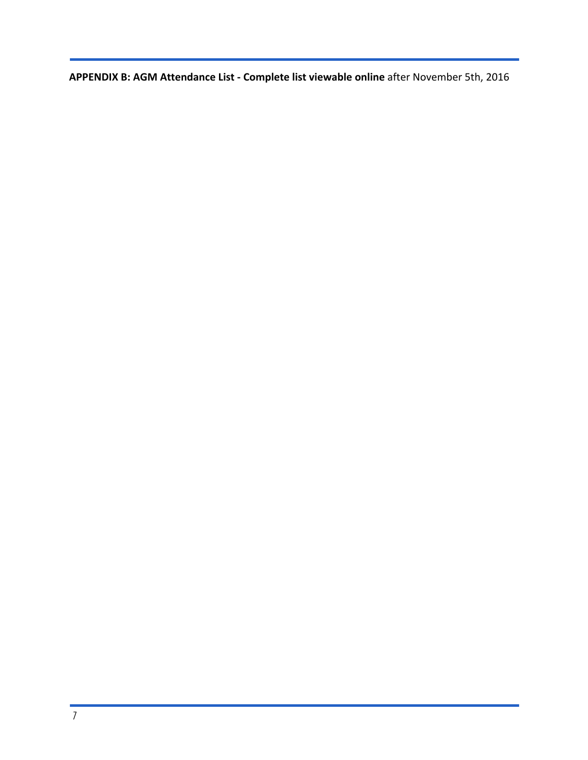**APPENDIX B: AGM Attendance List - Complete list viewable online** after November 5th, 2016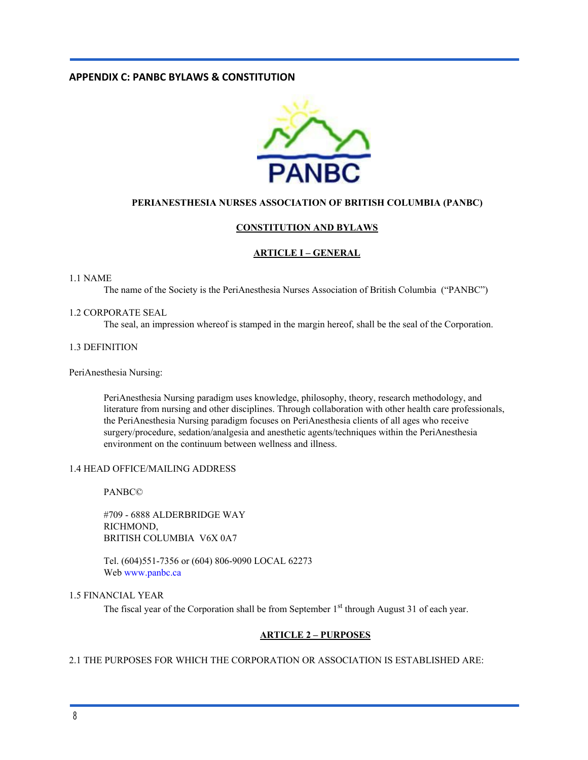#### **APPENDIX C: PANBC BYLAWS & CONSTITUTION**



#### **PERIANESTHESIA NURSES ASSOCIATION OF BRITISH COLUMBIA (PANBC)**

#### **CONSTITUTION AND BYLAWS**

#### **ARTICLE I – GENERAL**

#### 1.1 NAME

The name of the Society is the PeriAnesthesia Nurses Association of British Columbia ("PANBC")

#### 1.2 CORPORATE SEAL

The seal, an impression whereof is stamped in the margin hereof, shall be the seal of the Corporation.

#### 1.3 DEFINITION

PeriAnesthesia Nursing:

PeriAnesthesia Nursing paradigm uses knowledge, philosophy, theory, research methodology, and literature from nursing and other disciplines. Through collaboration with other health care professionals, the PeriAnesthesia Nursing paradigm focuses on PeriAnesthesia clients of all ages who receive surgery/procedure, sedation/analgesia and anesthetic agents/techniques within the PeriAnesthesia environment on the continuum between wellness and illness.

#### 1.4 HEAD OFFICE/MAILING ADDRESS

PANBC©

#709 - 6888 ALDERBRIDGE WAY RICHMOND, BRITISH COLUMBIA V6X 0A7

Tel. (604)551-7356 or (604) 806-9090 LOCAL 62273 Web www.panbc.c[a](http://www.panbc.net/)

#### 1.5 FINANCIAL YEAR

The fiscal year of the Corporation shall be from September  $1<sup>st</sup>$  through August 31 of each year.

#### **ARTICLE 2 – PURPOSES**

#### 2.1 THE PURPOSES FOR WHICH THE CORPORATION OR ASSOCIATION IS ESTABLISHED ARE: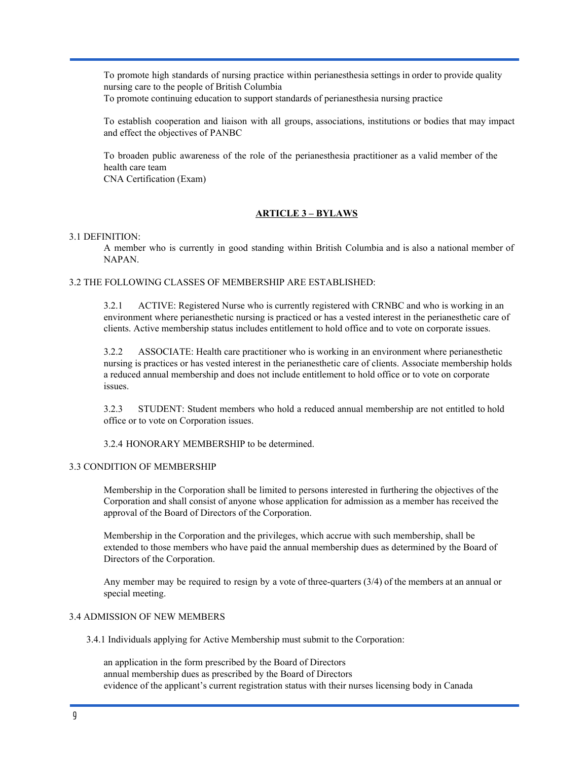To promote high standards of nursing practice within perianesthesia settings in order to provide quality nursing care to the people of British Columbia

To promote continuing education to support standards of perianesthesia nursing practice

To establish cooperation and liaison with all groups, associations, institutions or bodies that may impact and effect the objectives of PANBC

To broaden public awareness of the role of the perianesthesia practitioner as a valid member of the health care team CNA Certification (Exam)

#### **ARTICLE 3 – BYLAWS**

#### 3.1 DEFINITION:

A member who is currently in good standing within British Columbia and is also a national member of NAPAN.

#### 3.2 THE FOLLOWING CLASSES OF MEMBERSHIP ARE ESTABLISHED:

3.2.1 ACTIVE: Registered Nurse who is currently registered with CRNBC and who is working in an environment where perianesthetic nursing is practiced or has a vested interest in the perianesthetic care of clients. Active membership status includes entitlement to hold office and to vote on corporate issues.

3.2.2 ASSOCIATE: Health care practitioner who is working in an environment where perianesthetic nursing is practices or has vested interest in the perianesthetic care of clients. Associate membership holds a reduced annual membership and does not include entitlement to hold office or to vote on corporate issues.

3.2.3 STUDENT: Student members who hold a reduced annual membership are not entitled to hold office or to vote on Corporation issues.

3.2.4 HONORARY MEMBERSHIP to be determined.

#### 3.3 CONDITION OF MEMBERSHIP

Membership in the Corporation shall be limited to persons interested in furthering the objectives of the Corporation and shall consist of anyone whose application for admission as a member has received the approval of the Board of Directors of the Corporation.

Membership in the Corporation and the privileges, which accrue with such membership, shall be extended to those members who have paid the annual membership dues as determined by the Board of Directors of the Corporation.

Any member may be required to resign by a vote of three-quarters (3/4) of the members at an annual or special meeting.

#### 3.4 ADMISSION OF NEW MEMBERS

3.4.1 Individuals applying for Active Membership must submit to the Corporation:

an application in the form prescribed by the Board of Directors annual membership dues as prescribed by the Board of Directors evidence of the applicant's current registration status with their nurses licensing body in Canada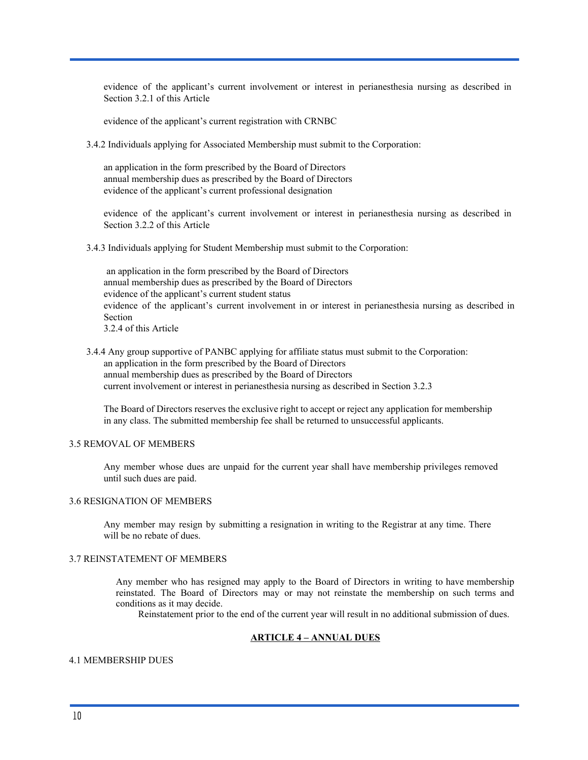evidence of the applicant's current involvement or interest in perianesthesia nursing as described in Section 3.2.1 of this Article

evidence of the applicant's current registration with CRNBC

3.4.2 Individuals applying for Associated Membership must submit to the Corporation:

an application in the form prescribed by the Board of Directors annual membership dues as prescribed by the Board of Directors evidence of the applicant's current professional designation

evidence of the applicant's current involvement or interest in perianesthesia nursing as described in Section 3.2.2 of this Article

3.4.3 Individuals applying for Student Membership must submit to the Corporation:

an application in the form prescribed by the Board of Directors annual membership dues as prescribed by the Board of Directors evidence of the applicant's current student status evidence of the applicant's current involvement in or interest in perianesthesia nursing as described in Section 3.2.4 of this Article

3.4.4 Any group supportive of PANBC applying for affiliate status must submit to the Corporation: an application in the form prescribed by the Board of Directors annual membership dues as prescribed by the Board of Directors current involvement or interest in perianesthesia nursing as described in Section 3.2.3

The Board of Directors reserves the exclusive right to accept or reject any application for membership in any class. The submitted membership fee shall be returned to unsuccessful applicants.

#### 3.5 REMOVAL OF MEMBERS

Any member whose dues are unpaid for the current year shall have membership privileges removed until such dues are paid.

#### 3.6 RESIGNATION OF MEMBERS

Any member may resign by submitting a resignation in writing to the Registrar at any time. There will be no rebate of dues.

#### 3.7 REINSTATEMENT OF MEMBERS

Any member who has resigned may apply to the Board of Directors in writing to have membership reinstated. The Board of Directors may or may not reinstate the membership on such terms and conditions as it may decide.

Reinstatement prior to the end of the current year will result in no additional submission of dues.

#### **ARTICLE 4 – ANNUAL DUES**

#### 4.1 MEMBERSHIP DUES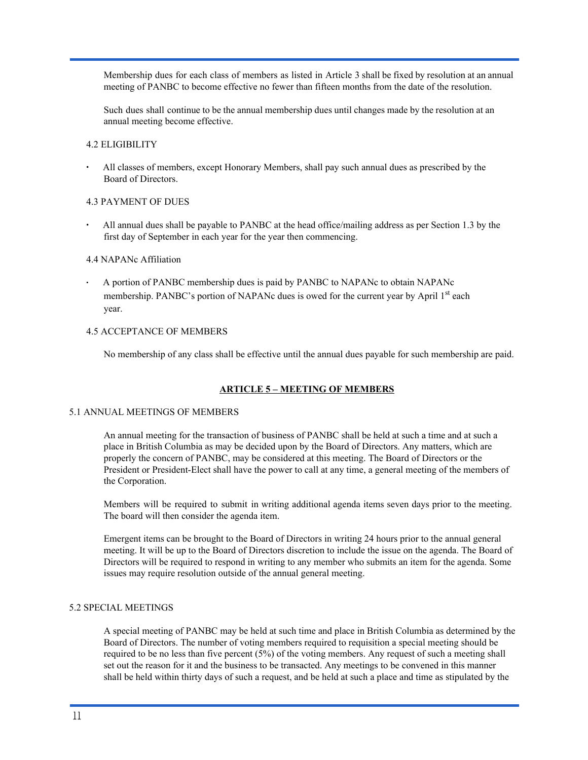Membership dues for each class of members as listed in Article 3 shall be fixed by resolution at an annual meeting of PANBC to become effective no fewer than fifteen months from the date of the resolution.

Such dues shall continue to be the annual membership dues until changes made by the resolution at an annual meeting become effective.

#### 4.2 ELIGIBILITY

∙ All classes of members, except Honorary Members, shall pay such annual dues as prescribed by the Board of Directors.

#### 4.3 PAYMENT OF DUES

∙ All annual dues shall be payable to PANBC at the head office/mailing address as per Section 1.3 by the first day of September in each year for the year then commencing.

#### 4.4 NAPANc Affiliation

∙ A portion of PANBC membership dues is paid by PANBC to NAPANc to obtain NAPANc membership. PANBC's portion of NAPANc dues is owed for the current year by April 1<sup>st</sup> each year.

#### 4.5 ACCEPTANCE OF MEMBERS

No membership of any class shall be effective until the annual dues payable for such membership are paid.

#### **ARTICLE 5 – MEETING OF MEMBERS**

#### 5.1 ANNUAL MEETINGS OF MEMBERS

An annual meeting for the transaction of business of PANBC shall be held at such a time and at such a place in British Columbia as may be decided upon by the Board of Directors. Any matters, which are properly the concern of PANBC, may be considered at this meeting. The Board of Directors or the President or President-Elect shall have the power to call at any time, a general meeting of the members of the Corporation.

Members will be required to submit in writing additional agenda items seven days prior to the meeting. The board will then consider the agenda item.

Emergent items can be brought to the Board of Directors in writing 24 hours prior to the annual general meeting. It will be up to the Board of Directors discretion to include the issue on the agenda. The Board of Directors will be required to respond in writing to any member who submits an item for the agenda. Some issues may require resolution outside of the annual general meeting.

#### 5.2 SPECIAL MEETINGS

A special meeting of PANBC may be held at such time and place in British Columbia as determined by the Board of Directors. The number of voting members required to requisition a special meeting should be required to be no less than five percent (5%) of the voting members. Any request of such a meeting shall set out the reason for it and the business to be transacted. Any meetings to be convened in this manner shall be held within thirty days of such a request, and be held at such a place and time as stipulated by the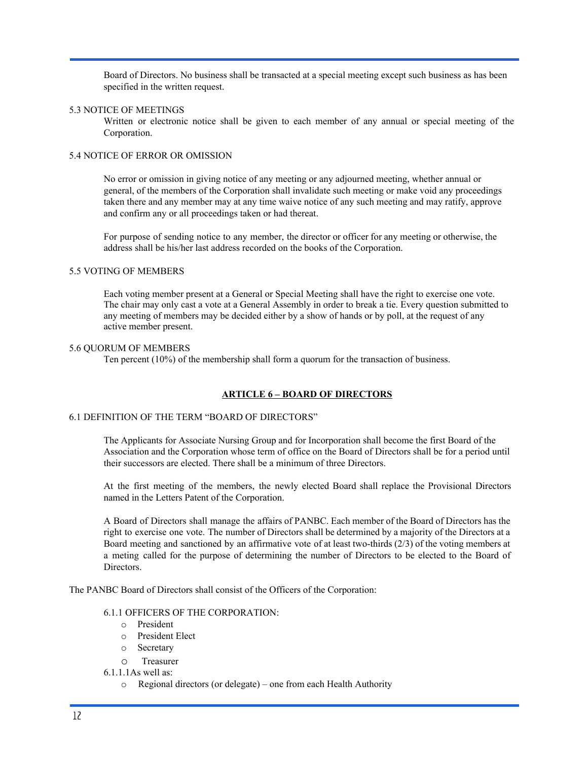Board of Directors. No business shall be transacted at a special meeting except such business as has been specified in the written request.

#### 5.3 NOTICE OF MEETINGS

Written or electronic notice shall be given to each member of any annual or special meeting of the Corporation.

#### 5.4 NOTICE OF ERROR OR OMISSION

No error or omission in giving notice of any meeting or any adjourned meeting, whether annual or general, of the members of the Corporation shall invalidate such meeting or make void any proceedings taken there and any member may at any time waive notice of any such meeting and may ratify, approve and confirm any or all proceedings taken or had thereat.

For purpose of sending notice to any member, the director or officer for any meeting or otherwise, the address shall be his/her last address recorded on the books of the Corporation.

#### 5.5 VOTING OF MEMBERS

Each voting member present at a General or Special Meeting shall have the right to exercise one vote. The chair may only cast a vote at a General Assembly in order to break a tie. Every question submitted to any meeting of members may be decided either by a show of hands or by poll, at the request of any active member present.

#### 5.6 QUORUM OF MEMBERS

Ten percent (10%) of the membership shall form a quorum for the transaction of business.

#### **ARTICLE 6 – BOARD OF DIRECTORS**

#### 6.1 DEFINITION OF THE TERM "BOARD OF DIRECTORS"

The Applicants for Associate Nursing Group and for Incorporation shall become the first Board of the Association and the Corporation whose term of office on the Board of Directors shall be for a period until their successors are elected. There shall be a minimum of three Directors.

At the first meeting of the members, the newly elected Board shall replace the Provisional Directors named in the Letters Patent of the Corporation.

A Board of Directors shall manage the affairs of PANBC. Each member of the Board of Directors has the right to exercise one vote. The number of Directors shall be determined by a majority of the Directors at a Board meeting and sanctioned by an affirmative vote of at least two-thirds (2/3) of the voting members at a meting called for the purpose of determining the number of Directors to be elected to the Board of Directors.

The PANBC Board of Directors shall consist of the Officers of the Corporation:

#### 6.1.1 OFFICERS OF THE CORPORATION:

- o President
- o President Elect
- o Secretary
- o Treasurer
- $6.1.1$  1 As well as:
	- o Regional directors (or delegate) one from each Health Authority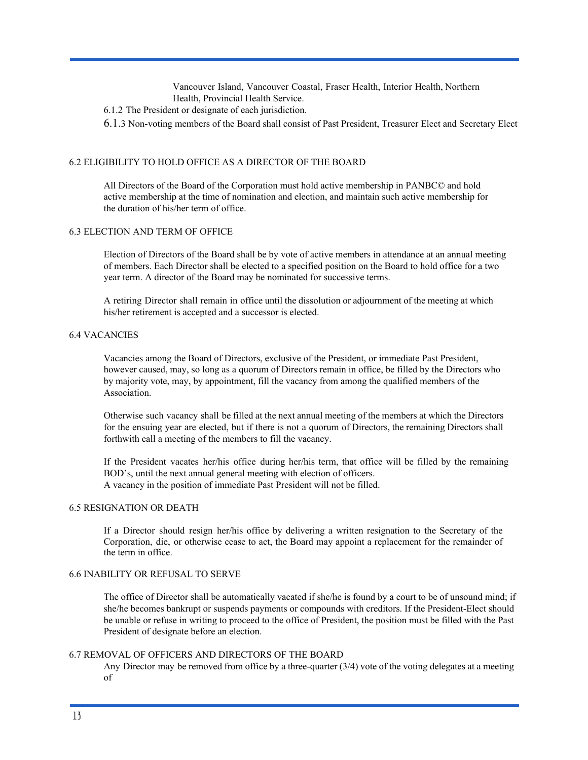Vancouver Island, Vancouver Coastal, Fraser Health, Interior Health, Northern Health, Provincial Health Service.

6.1.2 The President or designate of each jurisdiction.

6.1.3 Non-voting members of the Board shall consist of Past President, Treasurer Elect and Secretary Elect

#### 6.2 ELIGIBILITY TO HOLD OFFICE AS A DIRECTOR OF THE BOARD

All Directors of the Board of the Corporation must hold active membership in PANBC© and hold active membership at the time of nomination and election, and maintain such active membership for the duration of his/her term of office.

#### 6.3 ELECTION AND TERM OF OFFICE

Election of Directors of the Board shall be by vote of active members in attendance at an annual meeting of members. Each Director shall be elected to a specified position on the Board to hold office for a two year term. A director of the Board may be nominated for successive terms.

A retiring Director shall remain in office until the dissolution or adjournment of the meeting at which his/her retirement is accepted and a successor is elected.

#### 6.4 VACANCIES

Vacancies among the Board of Directors, exclusive of the President, or immediate Past President, however caused, may, so long as a quorum of Directors remain in office, be filled by the Directors who by majority vote, may, by appointment, fill the vacancy from among the qualified members of the Association.

Otherwise such vacancy shall be filled at the next annual meeting of the members at which the Directors for the ensuing year are elected, but if there is not a quorum of Directors, the remaining Directors shall forthwith call a meeting of the members to fill the vacancy.

If the President vacates her/his office during her/his term, that office will be filled by the remaining BOD's, until the next annual general meeting with election of officers. A vacancy in the position of immediate Past President will not be filled.

#### 6.5 RESIGNATION OR DEATH

If a Director should resign her/his office by delivering a written resignation to the Secretary of the Corporation, die, or otherwise cease to act, the Board may appoint a replacement for the remainder of the term in office.

#### 6.6 INABILITY OR REFUSAL TO SERVE

The office of Director shall be automatically vacated if she/he is found by a court to be of unsound mind; if she/he becomes bankrupt or suspends payments or compounds with creditors. If the President-Elect should be unable or refuse in writing to proceed to the office of President, the position must be filled with the Past President of designate before an election.

#### 6.7 REMOVAL OF OFFICERS AND DIRECTORS OF THE BOARD

Any Director may be removed from office by a three-quarter  $(3/4)$  vote of the voting delegates at a meeting of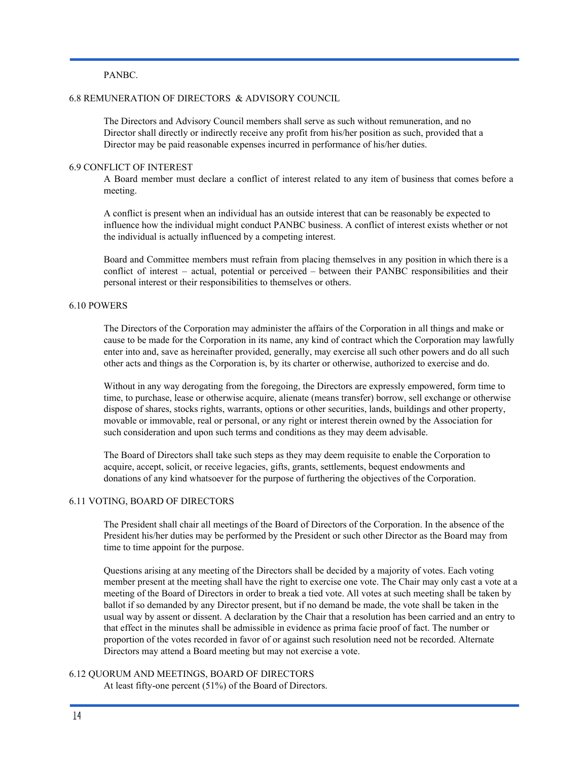#### PANBC.

#### 6.8 REMUNERATION OF DIRECTORS & ADVISORY COUNCIL

The Directors and Advisory Council members shall serve as such without remuneration, and no Director shall directly or indirectly receive any profit from his/her position as such, provided that a Director may be paid reasonable expenses incurred in performance of his/her duties.

#### 6.9 CONFLICT OF INTEREST

A Board member must declare a conflict of interest related to any item of business that comes before a meeting.

A conflict is present when an individual has an outside interest that can be reasonably be expected to influence how the individual might conduct PANBC business. A conflict of interest exists whether or not the individual is actually influenced by a competing interest.

Board and Committee members must refrain from placing themselves in any position in which there is a conflict of interest – actual, potential or perceived – between their PANBC responsibilities and their personal interest or their responsibilities to themselves or others.

#### 6.10 POWERS

The Directors of the Corporation may administer the affairs of the Corporation in all things and make or cause to be made for the Corporation in its name, any kind of contract which the Corporation may lawfully enter into and, save as hereinafter provided, generally, may exercise all such other powers and do all such other acts and things as the Corporation is, by its charter or otherwise, authorized to exercise and do.

Without in any way derogating from the foregoing, the Directors are expressly empowered, form time to time, to purchase, lease or otherwise acquire, alienate (means transfer) borrow, sell exchange or otherwise dispose of shares, stocks rights, warrants, options or other securities, lands, buildings and other property, movable or immovable, real or personal, or any right or interest therein owned by the Association for such consideration and upon such terms and conditions as they may deem advisable.

The Board of Directors shall take such steps as they may deem requisite to enable the Corporation to acquire, accept, solicit, or receive legacies, gifts, grants, settlements, bequest endowments and donations of any kind whatsoever for the purpose of furthering the objectives of the Corporation.

#### 6.11 VOTING, BOARD OF DIRECTORS

The President shall chair all meetings of the Board of Directors of the Corporation. In the absence of the President his/her duties may be performed by the President or such other Director as the Board may from time to time appoint for the purpose.

Questions arising at any meeting of the Directors shall be decided by a majority of votes. Each voting member present at the meeting shall have the right to exercise one vote. The Chair may only cast a vote at a meeting of the Board of Directors in order to break a tied vote. All votes at such meeting shall be taken by ballot if so demanded by any Director present, but if no demand be made, the vote shall be taken in the usual way by assent or dissent. A declaration by the Chair that a resolution has been carried and an entry to that effect in the minutes shall be admissible in evidence as prima facie proof of fact. The number or proportion of the votes recorded in favor of or against such resolution need not be recorded. Alternate Directors may attend a Board meeting but may not exercise a vote.

#### 6.12 QUORUM AND MEETINGS, BOARD OF DIRECTORS

At least fifty-one percent (51%) of the Board of Directors.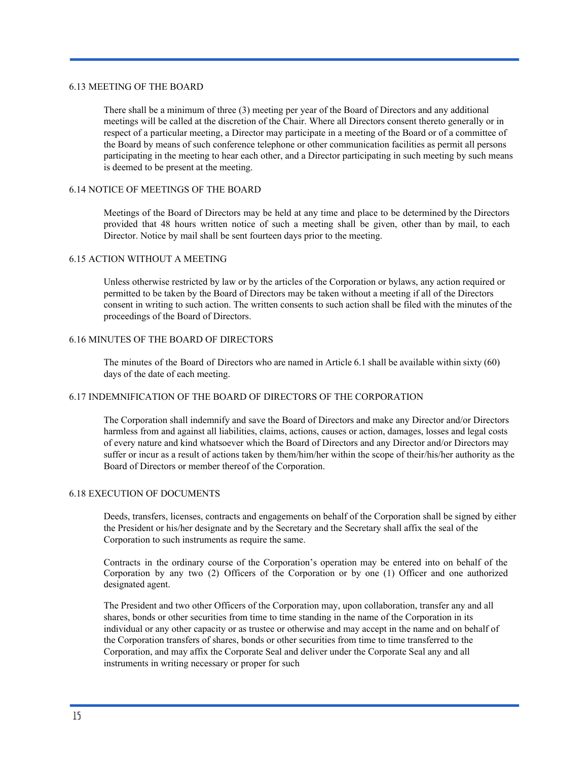#### 6.13 MEETING OF THE BOARD

There shall be a minimum of three (3) meeting per year of the Board of Directors and any additional meetings will be called at the discretion of the Chair. Where all Directors consent thereto generally or in respect of a particular meeting, a Director may participate in a meeting of the Board or of a committee of the Board by means of such conference telephone or other communication facilities as permit all persons participating in the meeting to hear each other, and a Director participating in such meeting by such means is deemed to be present at the meeting.

#### 6.14 NOTICE OF MEETINGS OF THE BOARD

Meetings of the Board of Directors may be held at any time and place to be determined by the Directors provided that 48 hours written notice of such a meeting shall be given, other than by mail, to each Director. Notice by mail shall be sent fourteen days prior to the meeting.

#### 6.15 ACTION WITHOUT A MEETING

Unless otherwise restricted by law or by the articles of the Corporation or bylaws, any action required or permitted to be taken by the Board of Directors may be taken without a meeting if all of the Directors consent in writing to such action. The written consents to such action shall be filed with the minutes of the proceedings of the Board of Directors.

#### 6.16 MINUTES OF THE BOARD OF DIRECTORS

The minutes of the Board of Directors who are named in Article 6.1 shall be available within sixty (60) days of the date of each meeting.

#### 6.17 INDEMNIFICATION OF THE BOARD OF DIRECTORS OF THE CORPORATION

The Corporation shall indemnify and save the Board of Directors and make any Director and/or Directors harmless from and against all liabilities, claims, actions, causes or action, damages, losses and legal costs of every nature and kind whatsoever which the Board of Directors and any Director and/or Directors may suffer or incur as a result of actions taken by them/him/her within the scope of their/his/her authority as the Board of Directors or member thereof of the Corporation.

#### 6.18 EXECUTION OF DOCUMENTS

Deeds, transfers, licenses, contracts and engagements on behalf of the Corporation shall be signed by either the President or his/her designate and by the Secretary and the Secretary shall affix the seal of the Corporation to such instruments as require the same.

Contracts in the ordinary course of the Corporation's operation may be entered into on behalf of the Corporation by any two (2) Officers of the Corporation or by one (1) Officer and one authorized designated agent.

The President and two other Officers of the Corporation may, upon collaboration, transfer any and all shares, bonds or other securities from time to time standing in the name of the Corporation in its individual or any other capacity or as trustee or otherwise and may accept in the name and on behalf of the Corporation transfers of shares, bonds or other securities from time to time transferred to the Corporation, and may affix the Corporate Seal and deliver under the Corporate Seal any and all instruments in writing necessary or proper for such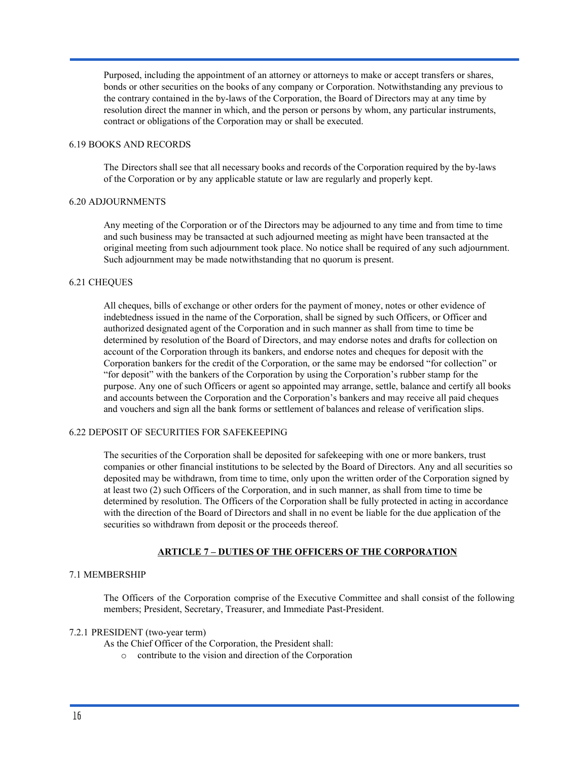Purposed, including the appointment of an attorney or attorneys to make or accept transfers or shares, bonds or other securities on the books of any company or Corporation. Notwithstanding any previous to the contrary contained in the by-laws of the Corporation, the Board of Directors may at any time by resolution direct the manner in which, and the person or persons by whom, any particular instruments, contract or obligations of the Corporation may or shall be executed.

#### 6.19 BOOKS AND RECORDS

The Directors shall see that all necessary books and records of the Corporation required by the by-laws of the Corporation or by any applicable statute or law are regularly and properly kept.

#### 6.20 ADJOURNMENTS

Any meeting of the Corporation or of the Directors may be adjourned to any time and from time to time and such business may be transacted at such adjourned meeting as might have been transacted at the original meeting from such adjournment took place. No notice shall be required of any such adjournment. Such adjournment may be made notwithstanding that no quorum is present.

#### 6.21 CHEQUES

All cheques, bills of exchange or other orders for the payment of money, notes or other evidence of indebtedness issued in the name of the Corporation, shall be signed by such Officers, or Officer and authorized designated agent of the Corporation and in such manner as shall from time to time be determined by resolution of the Board of Directors, and may endorse notes and drafts for collection on account of the Corporation through its bankers, and endorse notes and cheques for deposit with the Corporation bankers for the credit of the Corporation, or the same may be endorsed "for collection" or "for deposit" with the bankers of the Corporation by using the Corporation's rubber stamp for the purpose. Any one of such Officers or agent so appointed may arrange, settle, balance and certify all books and accounts between the Corporation and the Corporation's bankers and may receive all paid cheques and vouchers and sign all the bank forms or settlement of balances and release of verification slips.

#### 6.22 DEPOSIT OF SECURITIES FOR SAFEKEEPING

The securities of the Corporation shall be deposited for safekeeping with one or more bankers, trust companies or other financial institutions to be selected by the Board of Directors. Any and all securities so deposited may be withdrawn, from time to time, only upon the written order of the Corporation signed by at least two (2) such Officers of the Corporation, and in such manner, as shall from time to time be determined by resolution. The Officers of the Corporation shall be fully protected in acting in accordance with the direction of the Board of Directors and shall in no event be liable for the due application of the securities so withdrawn from deposit or the proceeds thereof.

#### **ARTICLE 7 – DUTIES OF THE OFFICERS OF THE CORPORATION**

#### 7.1 MEMBERSHIP

The Officers of the Corporation comprise of the Executive Committee and shall consist of the following members; President, Secretary, Treasurer, and Immediate Past-President.

#### 7.2.1 PRESIDENT (two-year term)

As the Chief Officer of the Corporation, the President shall:

o contribute to the vision and direction of the Corporation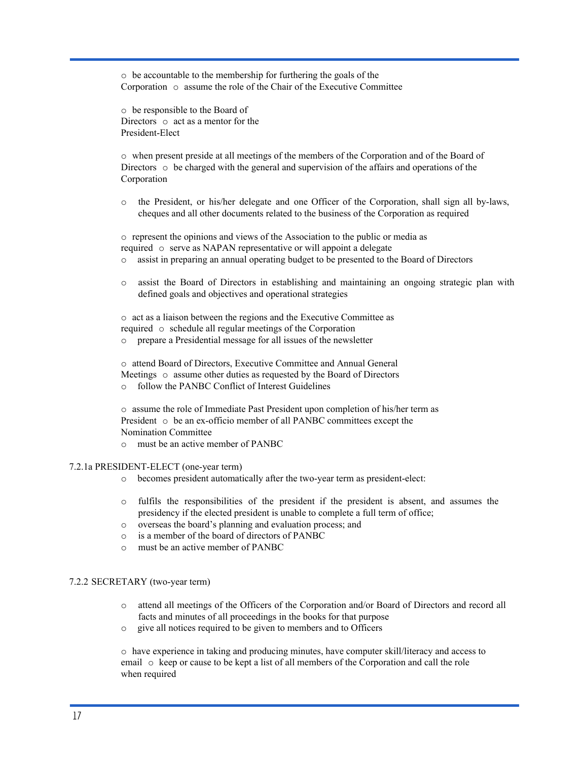o be accountable to the membership for furthering the goals of the Corporation  $\circ$  assume the role of the Chair of the Executive Committee

o be responsible to the Board of Directors  $\circ$  act as a mentor for the President-Elect

o when present preside at all meetings of the members of the Corporation and of the Board of Directors  $\circ$  be charged with the general and supervision of the affairs and operations of the Corporation

o the President, or his/her delegate and one Officer of the Corporation, shall sign all by-laws, cheques and all other documents related to the business of the Corporation as required

o represent the opinions and views of the Association to the public or media as required o serve as NAPAN representative or will appoint a delegate

- o assist in preparing an annual operating budget to be presented to the Board of Directors
- o assist the Board of Directors in establishing and maintaining an ongoing strategic plan with defined goals and objectives and operational strategies

o act as a liaison between the regions and the Executive Committee as required o schedule all regular meetings of the Corporation

o prepare a Presidential message for all issues of the newsletter

o attend Board of Directors, Executive Committee and Annual General

- Meetings  $\circ$  assume other duties as requested by the Board of Directors
- o follow the PANBC Conflict of Interest Guidelines

o assume the role of Immediate Past President upon completion of his/her term as President o be an ex-officio member of all PANBC committees except the Nomination Committee

o must be an active member of PANBC

#### 7.2.1a PRESIDENT-ELECT (one-year term)

- o becomes president automatically after the two-year term as president-elect:
- o fulfils the responsibilities of the president if the president is absent, and assumes the presidency if the elected president is unable to complete a full term of office;
- o overseas the board's planning and evaluation process; and
- o is a member of the board of directors of PANBC
- o must be an active member of PANBC

#### 7.2.2 SECRETARY (two-year term)

- o attend all meetings of the Officers of the Corporation and/or Board of Directors and record all facts and minutes of all proceedings in the books for that purpose
- o give all notices required to be given to members and to Officers

o have experience in taking and producing minutes, have computer skill/literacy and access to email  $\circ$  keep or cause to be kept a list of all members of the Corporation and call the role when required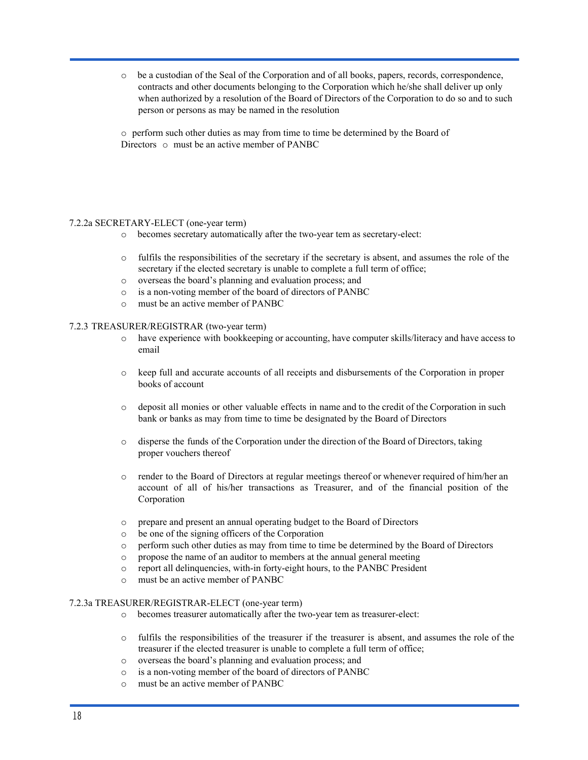o be a custodian of the Seal of the Corporation and of all books, papers, records, correspondence, contracts and other documents belonging to the Corporation which he/she shall deliver up only when authorized by a resolution of the Board of Directors of the Corporation to do so and to such person or persons as may be named in the resolution

o perform such other duties as may from time to time be determined by the Board of Directors  $\circ$  must be an active member of PANBC

#### 7.2.2a SECRETARY-ELECT (one-year term)

- o becomes secretary automatically after the two-year tem as secretary-elect:
- o fulfils the responsibilities of the secretary if the secretary is absent, and assumes the role of the secretary if the elected secretary is unable to complete a full term of office;
- o overseas the board's planning and evaluation process; and
- o is a non-voting member of the board of directors of PANBC
- o must be an active member of PANBC

#### 7.2.3 TREASURER/REGISTRAR (two-year term)

- o have experience with bookkeeping or accounting, have computer skills/literacy and have access to email
- o keep full and accurate accounts of all receipts and disbursements of the Corporation in proper books of account
- o deposit all monies or other valuable effects in name and to the credit of the Corporation in such bank or banks as may from time to time be designated by the Board of Directors
- o disperse the funds of the Corporation under the direction of the Board of Directors, taking proper vouchers thereof
- o render to the Board of Directors at regular meetings thereof or whenever required of him/her an account of all of his/her transactions as Treasurer, and of the financial position of the Corporation
- o prepare and present an annual operating budget to the Board of Directors
- o be one of the signing officers of the Corporation
- o perform such other duties as may from time to time be determined by the Board of Directors
- o propose the name of an auditor to members at the annual general meeting
- o report all delinquencies, with-in forty-eight hours, to the PANBC President
- o must be an active member of PANBC

#### 7.2.3a TREASURER/REGISTRAR-ELECT (one-year term)

- o becomes treasurer automatically after the two-year tem as treasurer-elect:
- o fulfils the responsibilities of the treasurer if the treasurer is absent, and assumes the role of the treasurer if the elected treasurer is unable to complete a full term of office;
- o overseas the board's planning and evaluation process; and
- o is a non-voting member of the board of directors of PANBC
- o must be an active member of PANBC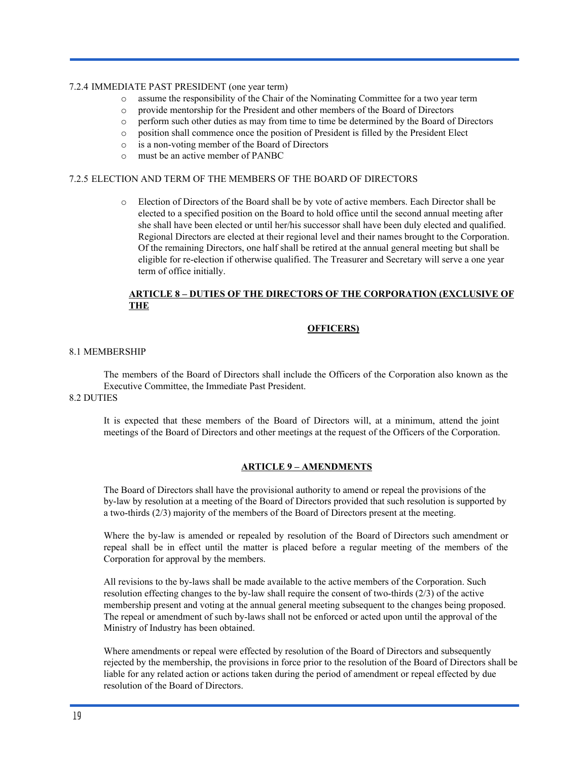#### 7.2.4 IMMEDIATE PAST PRESIDENT (one year term)

- o assume the responsibility of the Chair of the Nominating Committee for a two year term
- o provide mentorship for the President and other members of the Board of Directors
- o perform such other duties as may from time to time be determined by the Board of Directors
- o position shall commence once the position of President is filled by the President Elect
- o is a non-voting member of the Board of Directors
- o must be an active member of PANBC

#### 7.2.5 ELECTION AND TERM OF THE MEMBERS OF THE BOARD OF DIRECTORS

o Election of Directors of the Board shall be by vote of active members. Each Director shall be elected to a specified position on the Board to hold office until the second annual meeting after she shall have been elected or until her/his successor shall have been duly elected and qualified. Regional Directors are elected at their regional level and their names brought to the Corporation. Of the remaining Directors, one half shall be retired at the annual general meeting but shall be eligible for re-election if otherwise qualified. The Treasurer and Secretary will serve a one year term of office initially.

#### **ARTICLE 8 – DUTIES OF THE DIRECTORS OF THE CORPORATION (EXCLUSIVE OF THE**

#### **OFFICERS)**

#### 8.1 MEMBERSHIP

The members of the Board of Directors shall include the Officers of the Corporation also known as the Executive Committee, the Immediate Past President.

#### 8.2 DUTIES

It is expected that these members of the Board of Directors will, at a minimum, attend the joint meetings of the Board of Directors and other meetings at the request of the Officers of the Corporation.

#### **ARTICLE 9 – AMENDMENTS**

The Board of Directors shall have the provisional authority to amend or repeal the provisions of the by-law by resolution at a meeting of the Board of Directors provided that such resolution is supported by a two-thirds (2/3) majority of the members of the Board of Directors present at the meeting.

Where the by-law is amended or repealed by resolution of the Board of Directors such amendment or repeal shall be in effect until the matter is placed before a regular meeting of the members of the Corporation for approval by the members.

All revisions to the by-laws shall be made available to the active members of the Corporation. Such resolution effecting changes to the by-law shall require the consent of two-thirds (2/3) of the active membership present and voting at the annual general meeting subsequent to the changes being proposed. The repeal or amendment of such by-laws shall not be enforced or acted upon until the approval of the Ministry of Industry has been obtained.

Where amendments or repeal were effected by resolution of the Board of Directors and subsequently rejected by the membership, the provisions in force prior to the resolution of the Board of Directors shall be liable for any related action or actions taken during the period of amendment or repeal effected by due resolution of the Board of Directors.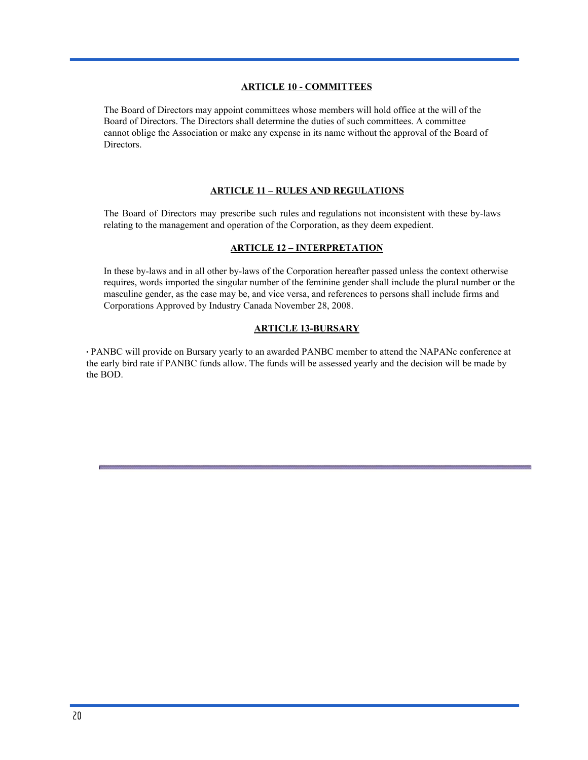#### **ARTICLE 10 - COMMITTEES**

The Board of Directors may appoint committees whose members will hold office at the will of the Board of Directors. The Directors shall determine the duties of such committees. A committee cannot oblige the Association or make any expense in its name without the approval of the Board of Directors.

#### **ARTICLE 11 – RULES AND REGULATIONS**

The Board of Directors may prescribe such rules and regulations not inconsistent with these by-laws relating to the management and operation of the Corporation, as they deem expedient.

#### **ARTICLE 12 – INTERPRETATION**

In these by-laws and in all other by-laws of the Corporation hereafter passed unless the context otherwise requires, words imported the singular number of the feminine gender shall include the plural number or the masculine gender, as the case may be, and vice versa, and references to persons shall include firms and Corporations Approved by Industry Canada November 28, 2008.

#### **ARTICLE 13-BURSARY**

∙ PANBC will provide on Bursary yearly to an awarded PANBC member to attend the NAPANc conference at the early bird rate if PANBC funds allow. The funds will be assessed yearly and the decision will be made by the BOD.